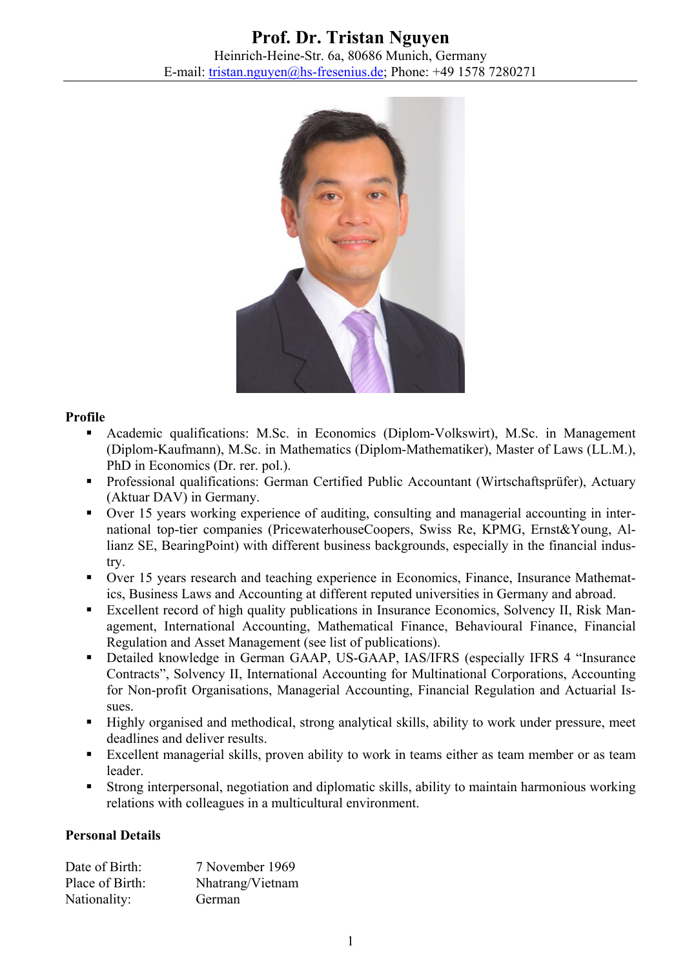

## **Profile**

- Academic qualifications: M.Sc. in Economics (Diplom-Volkswirt), M.Sc. in Management (Diplom-Kaufmann), M.Sc. in Mathematics (Diplom-Mathematiker), Master of Laws (LL.M.), PhD in Economics (Dr. rer. pol.).
- Professional qualifications: German Certified Public Accountant (Wirtschaftsprüfer), Actuary (Aktuar DAV) in Germany.
- Over 15 years working experience of auditing, consulting and managerial accounting in international top-tier companies (PricewaterhouseCoopers, Swiss Re, KPMG, Ernst&Young, Allianz SE, BearingPoint) with different business backgrounds, especially in the financial industry.
- Over 15 years research and teaching experience in Economics, Finance, Insurance Mathematics, Business Laws and Accounting at different reputed universities in Germany and abroad.
- Excellent record of high quality publications in Insurance Economics, Solvency II, Risk Management, International Accounting, Mathematical Finance, Behavioural Finance, Financial Regulation and Asset Management (see list of publications).
- Detailed knowledge in German GAAP, US-GAAP, IAS/IFRS (especially IFRS 4 "Insurance Contracts", Solvency II, International Accounting for Multinational Corporations, Accounting for Non-profit Organisations, Managerial Accounting, Financial Regulation and Actuarial Issues.
- Highly organised and methodical, strong analytical skills, ability to work under pressure, meet deadlines and deliver results.
- Excellent managerial skills, proven ability to work in teams either as team member or as team leader.
- Strong interpersonal, negotiation and diplomatic skills, ability to maintain harmonious working relations with colleagues in a multicultural environment.

## **Personal Details**

| Date of Birth:  | 7 November 1969  |
|-----------------|------------------|
| Place of Birth: | Nhatrang/Vietnam |
| Nationality:    | German           |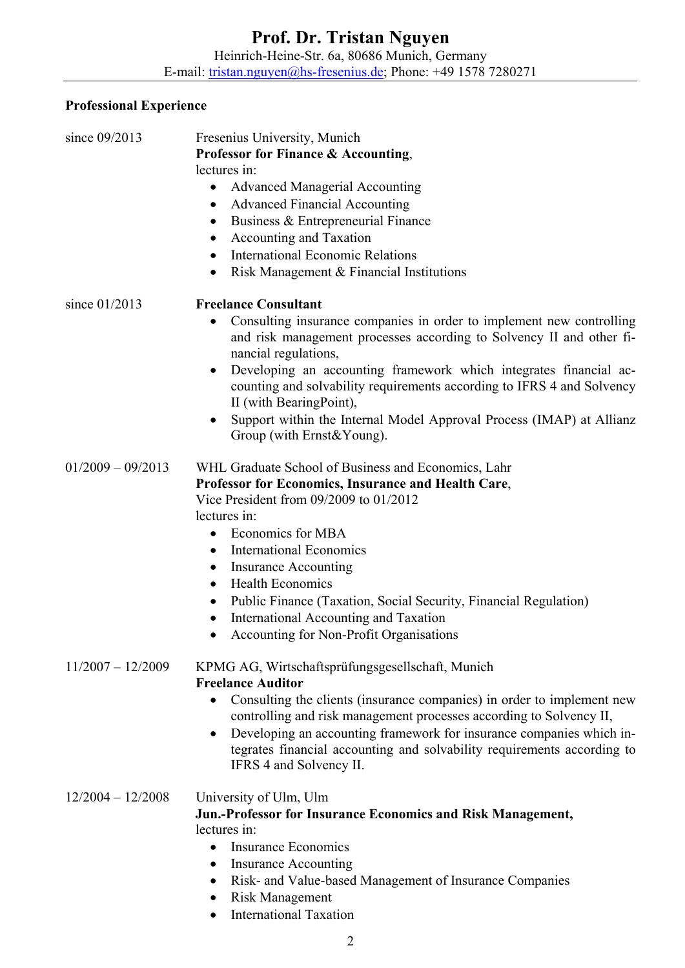## **Professional Experience**

| since 09/2013       | Fresenius University, Munich<br><b>Professor for Finance &amp; Accounting,</b>                                                                                                                                                                                                                                                                                                                |
|---------------------|-----------------------------------------------------------------------------------------------------------------------------------------------------------------------------------------------------------------------------------------------------------------------------------------------------------------------------------------------------------------------------------------------|
|                     | lectures in:                                                                                                                                                                                                                                                                                                                                                                                  |
|                     | <b>Advanced Managerial Accounting</b><br>$\bullet$                                                                                                                                                                                                                                                                                                                                            |
|                     | <b>Advanced Financial Accounting</b><br>$\bullet$                                                                                                                                                                                                                                                                                                                                             |
|                     | Business & Entrepreneurial Finance                                                                                                                                                                                                                                                                                                                                                            |
|                     | Accounting and Taxation                                                                                                                                                                                                                                                                                                                                                                       |
|                     | <b>International Economic Relations</b><br>$\bullet$                                                                                                                                                                                                                                                                                                                                          |
|                     | Risk Management & Financial Institutions<br>$\bullet$                                                                                                                                                                                                                                                                                                                                         |
| since 01/2013       | <b>Freelance Consultant</b>                                                                                                                                                                                                                                                                                                                                                                   |
|                     | Consulting insurance companies in order to implement new controlling<br>٠<br>and risk management processes according to Solvency II and other fi-<br>nancial regulations,                                                                                                                                                                                                                     |
|                     | Developing an accounting framework which integrates financial ac-<br>counting and solvability requirements according to IFRS 4 and Solvency<br>II (with BearingPoint),                                                                                                                                                                                                                        |
|                     | Support within the Internal Model Approval Process (IMAP) at Allianz<br>Group (with Ernst&Young).                                                                                                                                                                                                                                                                                             |
| $01/2009 - 09/2013$ | WHL Graduate School of Business and Economics, Lahr<br>Professor for Economics, Insurance and Health Care,<br>Vice President from 09/2009 to 01/2012<br>lectures in:                                                                                                                                                                                                                          |
|                     | Economics for MBA                                                                                                                                                                                                                                                                                                                                                                             |
|                     | <b>International Economics</b><br>$\bullet$                                                                                                                                                                                                                                                                                                                                                   |
|                     | <b>Insurance Accounting</b><br>$\bullet$                                                                                                                                                                                                                                                                                                                                                      |
|                     | <b>Health Economics</b><br>$\bullet$                                                                                                                                                                                                                                                                                                                                                          |
|                     | Public Finance (Taxation, Social Security, Financial Regulation)<br>International Accounting and Taxation<br>$\bullet$                                                                                                                                                                                                                                                                        |
|                     | Accounting for Non-Profit Organisations                                                                                                                                                                                                                                                                                                                                                       |
| $11/2007 - 12/2009$ | KPMG AG, Wirtschaftsprüfungsgesellschaft, Munich<br><b>Freelance Auditor</b><br>Consulting the clients (insurance companies) in order to implement new<br>$\bullet$<br>controlling and risk management processes according to Solvency II,<br>Developing an accounting framework for insurance companies which in-<br>tegrates financial accounting and solvability requirements according to |
|                     | IFRS 4 and Solvency II.                                                                                                                                                                                                                                                                                                                                                                       |
| $12/2004 - 12/2008$ | University of Ulm, Ulm                                                                                                                                                                                                                                                                                                                                                                        |
|                     | Jun.-Professor for Insurance Economics and Risk Management,                                                                                                                                                                                                                                                                                                                                   |
|                     | lectures in:                                                                                                                                                                                                                                                                                                                                                                                  |
|                     | <b>Insurance Economics</b>                                                                                                                                                                                                                                                                                                                                                                    |
|                     | <b>Insurance Accounting</b>                                                                                                                                                                                                                                                                                                                                                                   |

- Risk- and Value-based Management of Insurance Companies
- Risk Management
- International Taxation